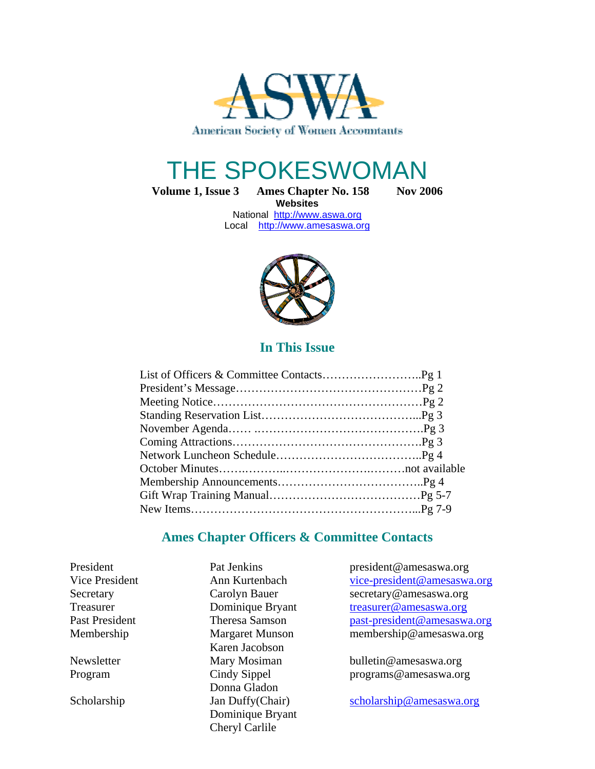

# THE SPOKESWOMAN

Volume 1, Issue 3 Ames Chapter No. 158 Nov 2006 **Websites** 

National http://www.aswa.org Local http://www.amesaswa.org



## **In This Issue**

## **Ames Chapter Officers & Committee Contacts**

 Karen Jacobson Donna Gladon Dominique Bryant Cheryl Carlile

President Pat Jenkins president@amesaswa.org Vice President Ann Kurtenbach vice-president@amesaswa.org Secretary Carolyn Bauer secretary@amesaswa.org Treasurer Dominique Bryant treasurer@amesaswa.org Past President Theresa Samson past-president@amesaswa.org Membership Margaret Munson membership@amesaswa.org

Newsletter Mary Mosiman bulletin@amesaswa.org Program Cindy Sippel programs@amesaswa.org

Scholarship Jan Duffy(Chair) scholarship@amesaswa.org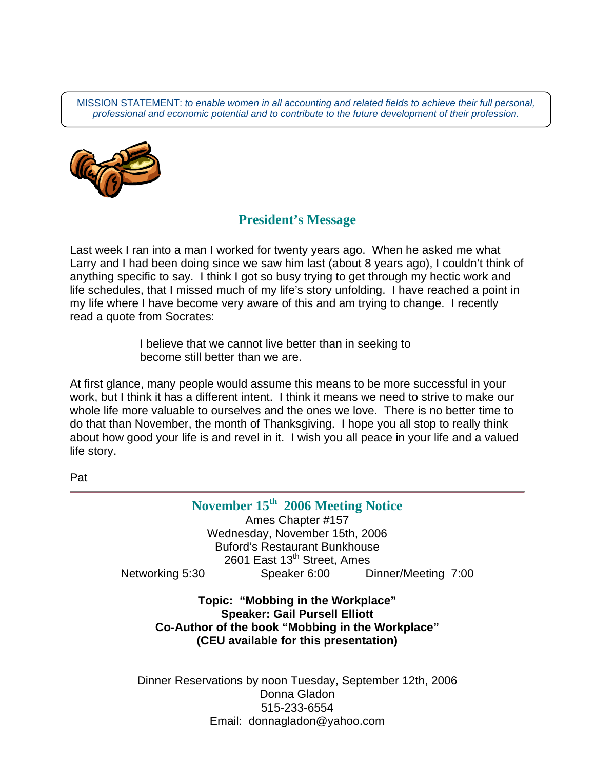MISSION STATEMENT: to enable women in all accounting and related fields to achieve their full personal, professional and economic potential and to contribute to the future development of their profession.



## **President's Message**

Last week I ran into a man I worked for twenty years ago. When he asked me what Larry and I had been doing since we saw him last (about 8 years ago), I couldn't think of anything specific to say. I think I got so busy trying to get through my hectic work and life schedules, that I missed much of my life's story unfolding. I have reached a point in my life where I have become very aware of this and am trying to change. I recently read a quote from Socrates:

> I believe that we cannot live better than in seeking to become still better than we are.

At first glance, many people would assume this means to be more successful in your work, but I think it has a different intent. I think it means we need to strive to make our whole life more valuable to ourselves and the ones we love. There is no better time to do that than November, the month of Thanksgiving. I hope you all stop to really think about how good your life is and revel in it. I wish you all peace in your life and a valued life story.

Pat

**November 15th 2006 Meeting Notice**  Ames Chapter #157 Wednesday, November 15th, 2006 Buford's Restaurant Bunkhouse 2601 East 13<sup>th</sup> Street, Ames Networking 5:30 Speaker 6:00 Dinner/Meeting 7:00

**Topic: "Mobbing in the Workplace" Speaker: Gail Pursell Elliott Co-Author of the book "Mobbing in the Workplace" (CEU available for this presentation)** 

Dinner Reservations by noon Tuesday, September 12th, 2006 Donna Gladon 515-233-6554 Email:donnagladon@yahoo.com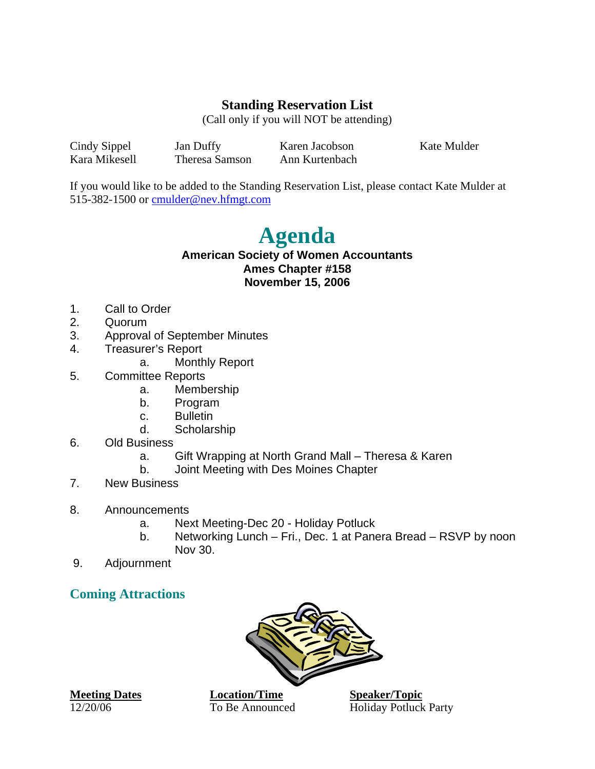# **Standing Reservation List**

(Call only if you will NOT be attending)

Cindy Sippel Jan Duffy Karen Jacobson Kate Mulder Kara Mikesell Theresa Samson Ann Kurtenbach

If you would like to be added to the Standing Reservation List, please contact Kate Mulder at 515-382-1500 or cmulder@nev.hfmgt.com

# **Agenda**

#### **American Society of Women Accountants Ames Chapter #158 November 15, 2006**

- 1. Call to Order
- 2. Quorum
- 3. Approval of September Minutes
- 4. Treasurer's Report
	- a. Monthly Report
- 5. Committee Reports
	- a. Membership
	- b. Program
	- c. Bulletin
	- d. Scholarship
- 6. Old Business
	- a. Gift Wrapping at North Grand Mall Theresa & Karen
	- b. Joint Meeting with Des Moines Chapter
- 7. New Business
- 8. Announcements
	- a. Next Meeting-Dec 20 Holiday Potluck
	- b. Networking Lunch Fri., Dec. 1 at Panera Bread RSVP by noon Nov 30.
- 9. Adjournment

# **Coming Attractions**



**Meeting Dates Location/Time Speaker/Topic** 12/20/06 To Be Announced Holiday Potluck Party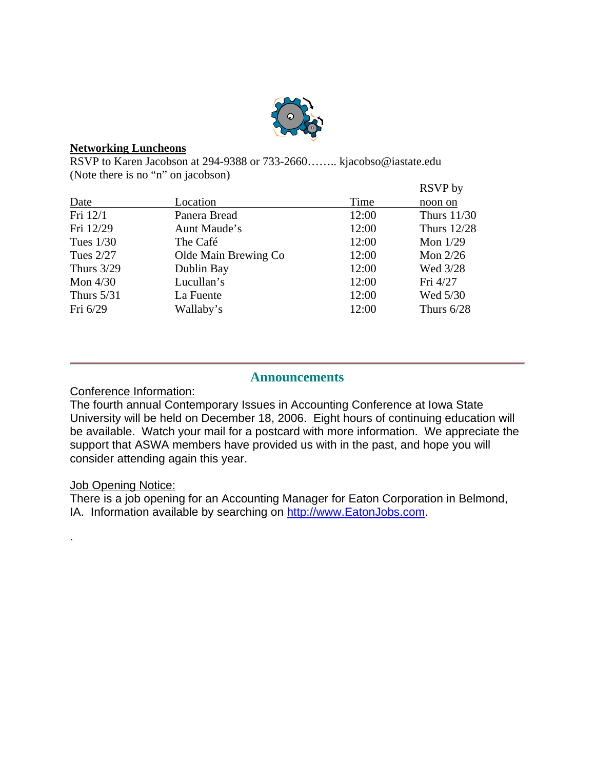

#### **Networking Luncheons**

RSVP to Karen Jacobson at 294-9388 or 733-2660…….. kjacobso@iastate.edu (Note there is no "n" on jacobson)

|              |                      |       | RSVP by            |
|--------------|----------------------|-------|--------------------|
| Date         | Location             | Time  | noon on            |
| Fri 12/1     | Panera Bread         | 12:00 | <b>Thurs 11/30</b> |
| Fri 12/29    | Aunt Maude's         | 12:00 | <b>Thurs</b> 12/28 |
| Tues $1/30$  | The Café             | 12:00 | Mon $1/29$         |
| Tues 2/27    | Olde Main Brewing Co | 12:00 | Mon $2/26$         |
| Thurs $3/29$ | Dublin Bay           | 12:00 | Wed 3/28           |
| Mon $4/30$   | Lucullan's           | 12:00 | Fri 4/27           |
| Thurs $5/31$ | La Fuente            | 12:00 | Wed 5/30           |
| Fri $6/29$   | Wallaby's            | 12:00 | Thurs $6/28$       |

#### **Announcements**

#### Conference Information:

The fourth annual Contemporary Issues in Accounting Conference at Iowa State University will be held on December 18, 2006. Eight hours of continuing education will be available. Watch your mail for a postcard with more information. We appreciate the support that ASWA members have provided us with in the past, and hope you will consider attending again this year.

## **Job Opening Notice:**

.

There is a job opening for an Accounting Manager for Eaton Corporation in Belmond, IA. Information available by searching on http://www.EatonJobs.com.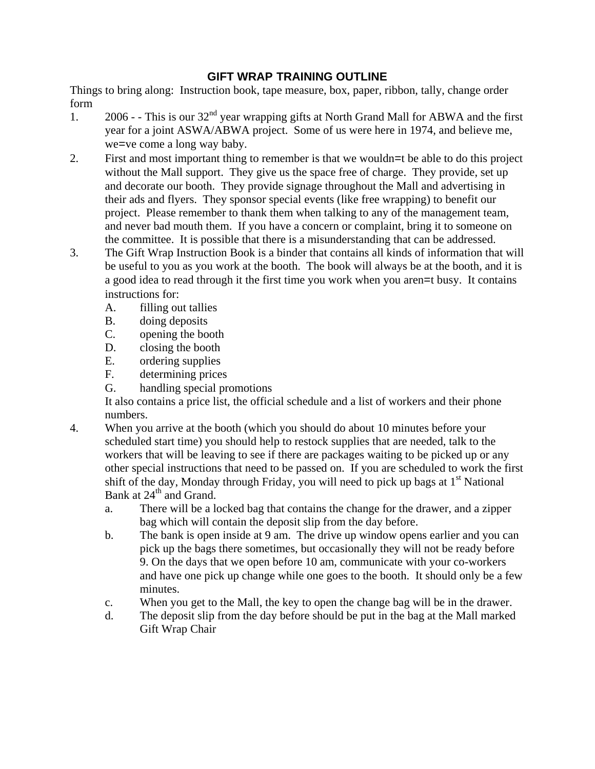#### **GIFT WRAP TRAINING OUTLINE**

Things to bring along: Instruction book, tape measure, box, paper, ribbon, tally, change order form

- 1. 2006 - This is our  $32<sup>nd</sup>$  year wrapping gifts at North Grand Mall for ABWA and the first year for a joint ASWA/ABWA project. Some of us were here in 1974, and believe me, we=ve come a long way baby.
- 2. First and most important thing to remember is that we wouldn=t be able to do this project without the Mall support. They give us the space free of charge. They provide, set up and decorate our booth. They provide signage throughout the Mall and advertising in their ads and flyers. They sponsor special events (like free wrapping) to benefit our project. Please remember to thank them when talking to any of the management team, and never bad mouth them. If you have a concern or complaint, bring it to someone on the committee. It is possible that there is a misunderstanding that can be addressed.
- 3. The Gift Wrap Instruction Book is a binder that contains all kinds of information that will be useful to you as you work at the booth. The book will always be at the booth, and it is a good idea to read through it the first time you work when you aren=t busy. It contains instructions for:
	- A. filling out tallies
	- B. doing deposits
	- C. opening the booth
	- D. closing the booth
	- E. ordering supplies
	- F. determining prices
	- G. handling special promotions

It also contains a price list, the official schedule and a list of workers and their phone numbers.

- 4. When you arrive at the booth (which you should do about 10 minutes before your scheduled start time) you should help to restock supplies that are needed, talk to the workers that will be leaving to see if there are packages waiting to be picked up or any other special instructions that need to be passed on. If you are scheduled to work the first shift of the day, Monday through Friday, you will need to pick up bags at  $1<sup>st</sup>$  National Bank at 24<sup>th</sup> and Grand.
	- a. There will be a locked bag that contains the change for the drawer, and a zipper bag which will contain the deposit slip from the day before.
	- b. The bank is open inside at 9 am. The drive up window opens earlier and you can pick up the bags there sometimes, but occasionally they will not be ready before 9. On the days that we open before 10 am, communicate with your co-workers and have one pick up change while one goes to the booth. It should only be a few minutes.
	- c. When you get to the Mall, the key to open the change bag will be in the drawer.
	- d. The deposit slip from the day before should be put in the bag at the Mall marked Gift Wrap Chair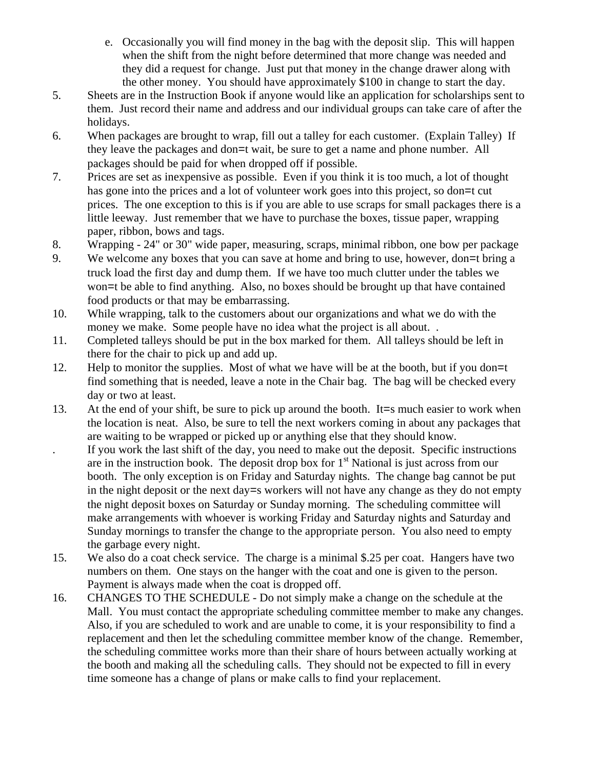- e. Occasionally you will find money in the bag with the deposit slip. This will happen when the shift from the night before determined that more change was needed and they did a request for change. Just put that money in the change drawer along with the other money. You should have approximately \$100 in change to start the day.
- 5. Sheets are in the Instruction Book if anyone would like an application for scholarships sent to them. Just record their name and address and our individual groups can take care of after the holidays.
- 6. When packages are brought to wrap, fill out a talley for each customer. (Explain Talley) If they leave the packages and don=t wait, be sure to get a name and phone number. All packages should be paid for when dropped off if possible.
- 7. Prices are set as inexpensive as possible. Even if you think it is too much, a lot of thought has gone into the prices and a lot of volunteer work goes into this project, so don=t cut prices. The one exception to this is if you are able to use scraps for small packages there is a little leeway. Just remember that we have to purchase the boxes, tissue paper, wrapping paper, ribbon, bows and tags.
- 8. Wrapping 24" or 30" wide paper, measuring, scraps, minimal ribbon, one bow per package
- 9. We welcome any boxes that you can save at home and bring to use, however, don=t bring a truck load the first day and dump them. If we have too much clutter under the tables we won=t be able to find anything. Also, no boxes should be brought up that have contained food products or that may be embarrassing.
- 10. While wrapping, talk to the customers about our organizations and what we do with the money we make. Some people have no idea what the project is all about. .
- 11. Completed talleys should be put in the box marked for them. All talleys should be left in there for the chair to pick up and add up.
- 12. Help to monitor the supplies. Most of what we have will be at the booth, but if you don=t find something that is needed, leave a note in the Chair bag. The bag will be checked every day or two at least.
- 13. At the end of your shift, be sure to pick up around the booth. It=s much easier to work when the location is neat. Also, be sure to tell the next workers coming in about any packages that are waiting to be wrapped or picked up or anything else that they should know.
- . If you work the last shift of the day, you need to make out the deposit. Specific instructions are in the instruction book. The deposit drop box for  $1<sup>st</sup>$  National is just across from our booth. The only exception is on Friday and Saturday nights. The change bag cannot be put in the night deposit or the next day=s workers will not have any change as they do not empty the night deposit boxes on Saturday or Sunday morning. The scheduling committee will make arrangements with whoever is working Friday and Saturday nights and Saturday and Sunday mornings to transfer the change to the appropriate person. You also need to empty the garbage every night.
- 15. We also do a coat check service. The charge is a minimal \$.25 per coat. Hangers have two numbers on them. One stays on the hanger with the coat and one is given to the person. Payment is always made when the coat is dropped off.
- 16. CHANGES TO THE SCHEDULE Do not simply make a change on the schedule at the Mall. You must contact the appropriate scheduling committee member to make any changes. Also, if you are scheduled to work and are unable to come, it is your responsibility to find a replacement and then let the scheduling committee member know of the change. Remember, the scheduling committee works more than their share of hours between actually working at the booth and making all the scheduling calls. They should not be expected to fill in every time someone has a change of plans or make calls to find your replacement.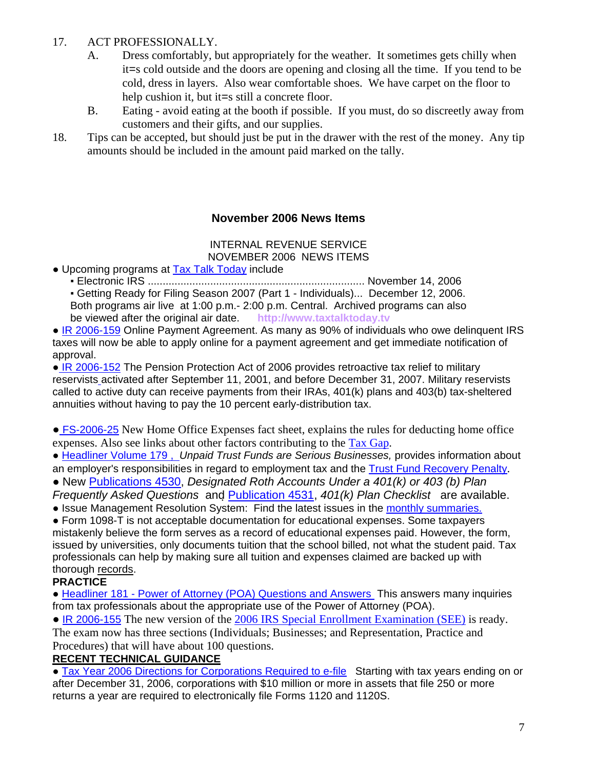### 17. ACT PROFESSIONALLY.

- A. Dress comfortably, but appropriately for the weather. It sometimes gets chilly when it=s cold outside and the doors are opening and closing all the time. If you tend to be cold, dress in layers. Also wear comfortable shoes. We have carpet on the floor to help cushion it, but it=s still a concrete floor.
- B. Eating avoid eating at the booth if possible. If you must, do so discreetly away from customers and their gifts, and our supplies.
- 18. Tips can be accepted, but should just be put in the drawer with the rest of the money. Any tip amounts should be included in the amount paid marked on the tally.

#### **November 2006 News Items**

#### INTERNAL REVENUE SERVICE NOVEMBER 2006 NEWS ITEMS

• Upcoming programs at Tax Talk Today include

▪ Electronic IRS ......................................................................... November 14, 2006

 ▪ Getting Ready for Filing Season 2007 (Part 1 - Individuals)... December 12, 2006. Both programs air live at 1:00 p.m.- 2:00 p.m. Central. Archived programs can also be viewed after the original air date. **http://www.taxtalktoday.tv** 

• IR 2006-159 Online Payment Agreement. As many as 90% of individuals who owe delinguent IRS taxes will now be able to apply online for a payment agreement and get immediate notification of approval.

● IR 2006-152 The Pension Protection Act of 2006 provides retroactive tax relief to military reservists activated after September 11, 2001, and before December 31, 2007. Military reservists called to active duty can receive payments from their IRAs, 401(k) plans and 403(b) tax-sheltered annuities without having to pay the 10 percent early-distribution tax.

• FS-2006-25 New Home Office Expenses fact sheet, explains the rules for deducting home office expenses. Also see links about other factors contributing to the Tax Gap.

• Headliner Volume 179, Unpaid Trust Funds are Serious Businesses, provides information about an employer's responsibilities in regard to employment tax and the Trust Fund Recovery Penalty.

• New Publications 4530, Designated Roth Accounts Under a 401(k) or 403 (b) Plan Frequently Asked Questionsand Publication 4531, 401(k) Plan Checklist are available.

• Issue Management Resolution System: Find the latest issues in the monthly summaries.

● Form 1098-T is not acceptable documentation for educational expenses. Some taxpayers mistakenly believe the form serves as a record of educational expenses paid. However, the form, issued by universities, only documents tuition that the school billed, not what the student paid. Tax professionals can help by making sure all tuition and expenses claimed are backed up with thorough records.

#### **PRACTICE**

● Headliner 181 - Power of Attorney (POA) Questions and Answers This answers many inquiries from tax professionals about the appropriate use of the Power of Attorney (POA).

• IR 2006-155 The new version of the 2006 IRS Special Enrollment Examination (SEE) is ready. The exam now has three sections (Individuals; Businesses; and Representation, Practice and Procedures) that will have about 100 questions.

#### **RECENT TECHNICAL GUIDANCE**

• Tax Year 2006 Directions for Corporations Required to e-file Starting with tax years ending on or after December 31, 2006, corporations with \$10 million or more in assets that file 250 or more returns a year are required to electronically file Forms 1120 and 1120S.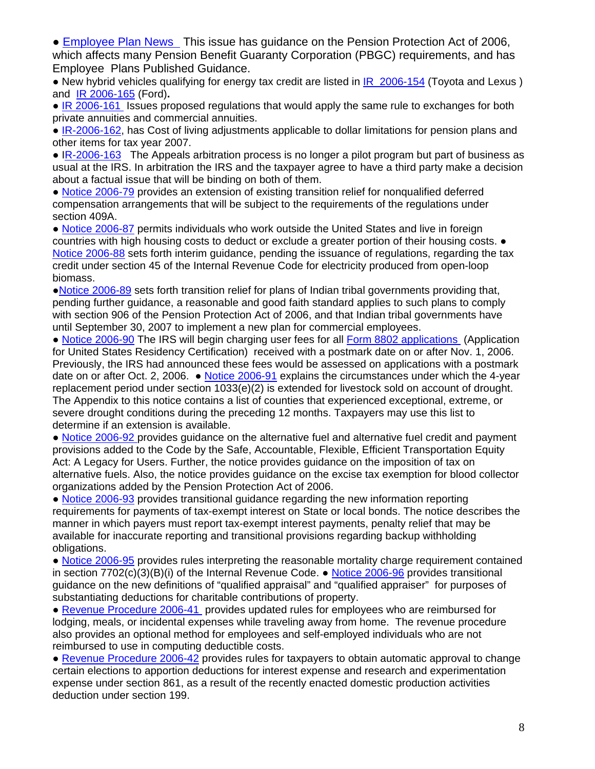• **Employee Plan News** This issue has guidance on the Pension Protection Act of 2006, which affects many Pension Benefit Guaranty Corporation (PBGC) requirements, and has Employee Plans Published Guidance.

• New hybrid vehicles qualifying for energy tax credit are listed in  $\overline{IR}$  2006-154 (Toyota and Lexus ) and IR 2006-165 (Ford)**.** 

• IR 2006-161 Issues proposed regulations that would apply the same rule to exchanges for both private annuities and commercial annuities.

● IR-2006-162, has Cost of living adjustments applicable to dollar limitations for pension plans and other items for tax year 2007.

• IR-2006-163 The Appeals arbitration process is no longer a pilot program but part of business as usual at the IRS. In arbitration the IRS and the taxpayer agree to have a third party make a decision about a factual issue that will be binding on both of them.

• Notice 2006-79 provides an extension of existing transition relief for nonqualified deferred compensation arrangements that will be subject to the requirements of the regulations under section 409A.

• Notice 2006-87 permits individuals who work outside the United States and live in foreign countries with high housing costs to deduct or exclude a greater portion of their housing costs. ● Notice 2006-88 sets forth interim guidance, pending the issuance of regulations, regarding the tax credit under section 45 of the Internal Revenue Code for electricity produced from open-loop biomass.

●Notice 2006-89 sets forth transition relief for plans of Indian tribal governments providing that, pending further guidance, a reasonable and good faith standard applies to such plans to comply with section 906 of the Pension Protection Act of 2006, and that Indian tribal governments have until September 30, 2007 to implement a new plan for commercial employees.

• Notice 2006-90 The IRS will begin charging user fees for all Form 8802 applications (Application for United States Residency Certification) received with a postmark date on or after Nov. 1, 2006. Previously, the IRS had announced these fees would be assessed on applications with a postmark date on or after Oct. 2, 2006. ● Notice 2006-91 explains the circumstances under which the 4-year replacement period under section 1033(e)(2) is extended for livestock sold on account of drought. The Appendix to this notice contains a list of counties that experienced exceptional, extreme, or severe drought conditions during the preceding 12 months. Taxpayers may use this list to determine if an extension is available.

• Notice 2006-92 provides guidance on the alternative fuel and alternative fuel credit and payment provisions added to the Code by the Safe, Accountable, Flexible, Efficient Transportation Equity Act: A Legacy for Users. Further, the notice provides guidance on the imposition of tax on alternative fuels. Also, the notice provides guidance on the excise tax exemption for blood collector organizations added by the Pension Protection Act of 2006.

• Notice 2006-93 provides transitional quidance regarding the new information reporting requirements for payments of tax-exempt interest on State or local bonds. The notice describes the manner in which payers must report tax-exempt interest payments, penalty relief that may be available for inaccurate reporting and transitional provisions regarding backup withholding obligations.

• Notice 2006-95 provides rules interpreting the reasonable mortality charge requirement contained in section  $7702(c)(3)(B)(i)$  of the Internal Revenue Code.  $\bullet$  Notice 2006-96 provides transitional guidance on the new definitions of "qualified appraisal" and "qualified appraiser" for purposes of substantiating deductions for charitable contributions of property.

● Revenue Procedure 2006-41 provides updated rules for employees who are reimbursed for lodging, meals, or incidental expenses while traveling away from home. The revenue procedure also provides an optional method for employees and self-employed individuals who are not reimbursed to use in computing deductible costs.

● Revenue Procedure 2006-42 provides rules for taxpayers to obtain automatic approval to change certain elections to apportion deductions for interest expense and research and experimentation expense under section 861, as a result of the recently enacted domestic production activities deduction under section 199.